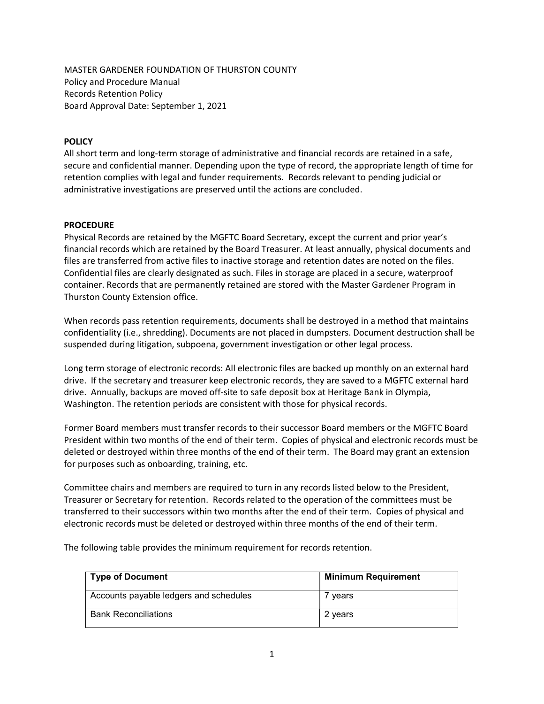MASTER GARDENER FOUNDATION OF THURSTON COUNTY Policy and Procedure Manual Records Retention Policy Board Approval Date: September 1, 2021

## POLICY

All short term and long-term storage of administrative and financial records are retained in a safe, secure and confidential manner. Depending upon the type of record, the appropriate length of time for retention complies with legal and funder requirements. Records relevant to pending judicial or administrative investigations are preserved until the actions are concluded.

## **PROCEDURE**

Physical Records are retained by the MGFTC Board Secretary, except the current and prior year's financial records which are retained by the Board Treasurer. At least annually, physical documents and files are transferred from active files to inactive storage and retention dates are noted on the files. Confidential files are clearly designated as such. Files in storage are placed in a secure, waterproof container. Records that are permanently retained are stored with the Master Gardener Program in Thurston County Extension office.

When records pass retention requirements, documents shall be destroyed in a method that maintains confidentiality (i.e., shredding). Documents are not placed in dumpsters. Document destruction shall be suspended during litigation, subpoena, government investigation or other legal process.

Long term storage of electronic records: All electronic files are backed up monthly on an external hard drive. If the secretary and treasurer keep electronic records, they are saved to a MGFTC external hard drive. Annually, backups are moved off-site to safe deposit box at Heritage Bank in Olympia, Washington. The retention periods are consistent with those for physical records.

Former Board members must transfer records to their successor Board members or the MGFTC Board President within two months of the end of their term. Copies of physical and electronic records must be deleted or destroyed within three months of the end of their term. The Board may grant an extension for purposes such as onboarding, training, etc.

Committee chairs and members are required to turn in any records listed below to the President, Treasurer or Secretary for retention. Records related to the operation of the committees must be transferred to their successors within two months after the end of their term. Copies of physical and electronic records must be deleted or destroyed within three months of the end of their term.

The following table provides the minimum requirement for records retention.

| <b>Type of Document</b>                | <b>Minimum Requirement</b> |
|----------------------------------------|----------------------------|
| Accounts payable ledgers and schedules | ' vears                    |
| <b>Bank Reconciliations</b>            | 2 years                    |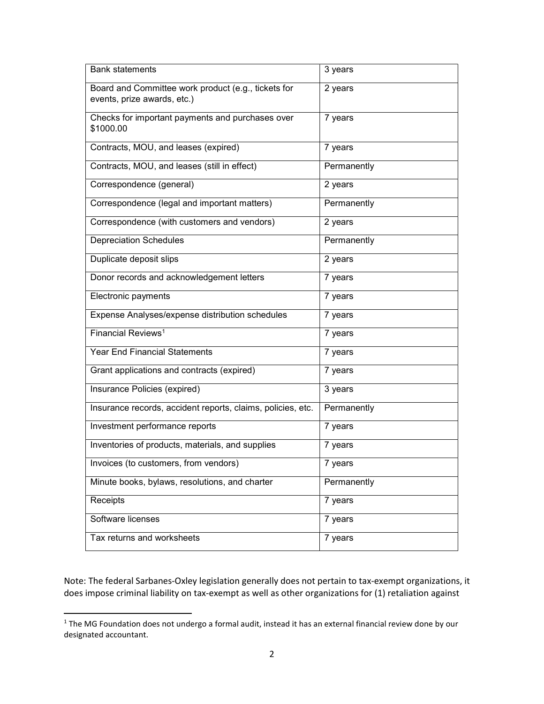| <b>Bank statements</b>                                                             | 3 years     |
|------------------------------------------------------------------------------------|-------------|
| Board and Committee work product (e.g., tickets for<br>events, prize awards, etc.) | 2 years     |
| Checks for important payments and purchases over<br>\$1000.00                      | 7 years     |
| Contracts, MOU, and leases (expired)                                               | 7 years     |
| Contracts, MOU, and leases (still in effect)                                       | Permanently |
| Correspondence (general)                                                           | 2 years     |
| Correspondence (legal and important matters)                                       | Permanently |
| Correspondence (with customers and vendors)                                        | 2 years     |
| <b>Depreciation Schedules</b>                                                      | Permanently |
| Duplicate deposit slips                                                            | 2 years     |
| Donor records and acknowledgement letters                                          | 7 years     |
| Electronic payments                                                                | 7 years     |
| Expense Analyses/expense distribution schedules                                    | 7 years     |
| Financial Reviews <sup>1</sup>                                                     | 7 years     |
| <b>Year End Financial Statements</b>                                               | 7 years     |
| Grant applications and contracts (expired)                                         | 7 years     |
| Insurance Policies (expired)                                                       | 3 years     |
| Insurance records, accident reports, claims, policies, etc.                        | Permanently |
| Investment performance reports                                                     | 7 years     |
| Inventories of products, materials, and supplies                                   | 7 years     |
| Invoices (to customers, from vendors)                                              | 7 years     |
| Minute books, bylaws, resolutions, and charter                                     | Permanently |
| Receipts                                                                           | 7 years     |
| Software licenses                                                                  | 7 years     |
| Tax returns and worksheets                                                         | 7 years     |

Note: The federal Sarbanes-Oxley legislation generally does not pertain to tax-exempt organizations, it does impose criminal liability on tax-exempt as well as other organizations for (1) retaliation against

 $\overline{a}$ 

<sup>&</sup>lt;sup>1</sup> The MG Foundation does not undergo a formal audit, instead it has an external financial review done by our designated accountant.